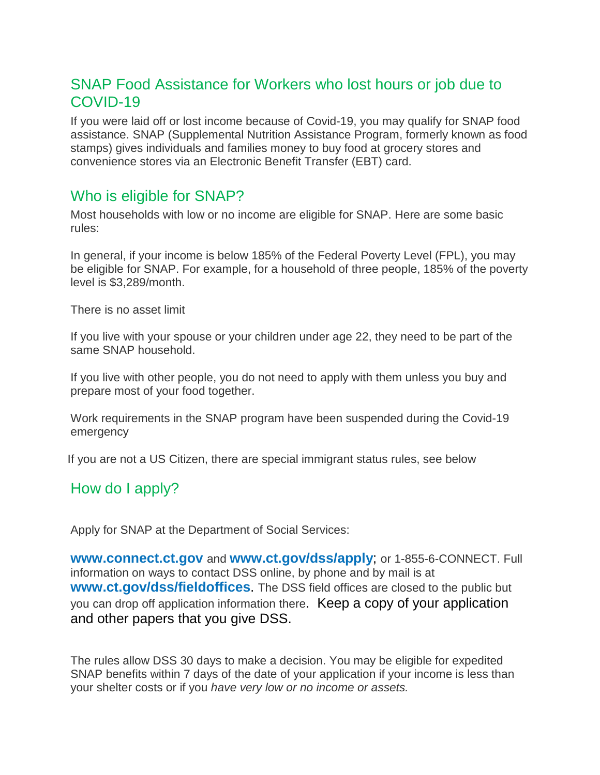## SNAP Food Assistance for Workers who lost hours or job due to COVID-19

If you were laid off or lost income because of Covid-19, you may qualify for SNAP food assistance. SNAP (Supplemental Nutrition Assistance Program, formerly known as food stamps) gives individuals and families money to buy food at grocery stores and convenience stores via an Electronic Benefit Transfer (EBT) card.

#### Who is eligible for SNAP?

Most households with low or no income are eligible for SNAP. Here are some basic rules:

In general, if your income is below 185% of the Federal Poverty Level (FPL), you may be eligible for SNAP. For example, for a household of three people, 185% of the poverty level is \$3,289/month.

There is no asset limit

If you live with your spouse or your children under age 22, they need to be part of the same SNAP household.

If you live with other people, you do not need to apply with them unless you buy and prepare most of your food together.

Work requirements in the SNAP program have been suspended during the Covid-19 emergency

If you are not a US Citizen, there are special immigrant status rules, see below

#### How do I apply?

Apply for SNAP at the Department of Social Services:

**[www.connect.ct.gov](http://www.connect.ct.gov/)** and **[www.ct.gov/dss/apply](http://www.ct.gov/dss/apply)**; or 1-855-6-CONNECT. Full information on ways to contact DSS online, by phone and by mail is at **[www.ct.gov/dss/fieldoffices](http://www.ct.gov/dss/fieldoffices)**. The DSS field offices are closed to the public but you can drop off application information there. Keep a copy of your application and other papers that you give DSS.

The rules allow DSS 30 days to make a decision. You may be eligible for expedited SNAP benefits within 7 days of the date of your application if your income is less than your shelter costs or if you *have very low or no income or assets.*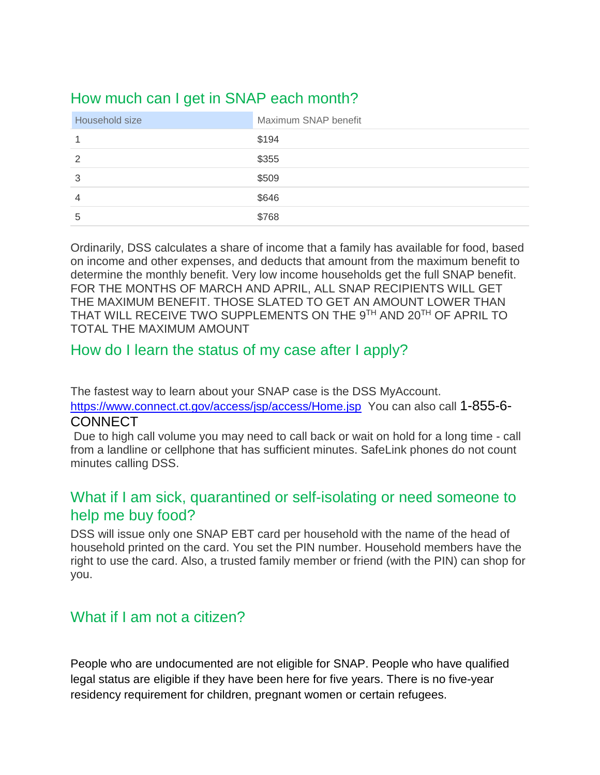# How much can I get in SNAP each month?

| Household size | Maximum SNAP benefit |
|----------------|----------------------|
|                | \$194                |
| 2              | \$355                |
| 3              | \$509                |
| 4              | \$646                |
| 5              | \$768                |

Ordinarily, DSS calculates a share of income that a family has available for food, based on income and other expenses, and deducts that amount from the maximum benefit to determine the monthly benefit. Very low income households get the full SNAP benefit. FOR THE MONTHS OF MARCH AND APRIL, ALL SNAP RECIPIENTS WILL GET THE MAXIMUM BENEFIT. THOSE SLATED TO GET AN AMOUNT LOWER THAN THAT WILL RECEIVE TWO SUPPLEMENTS ON THE 9TH AND 20TH OF APRIL TO TOTAL THE MAXIMUM AMOUNT

### How do I learn the status of my case after I apply?

The fastest way to learn about your SNAP case is the DSS MyAccount.

<https://www.connect.ct.gov/access/jsp/access/Home.jsp>You can also call 1-855-6-**CONNECT** 

Due to high call volume you may need to call back or wait on hold for a long time - call from a landline or cellphone that has sufficient minutes. SafeLink phones do not count minutes calling DSS.

### What if I am sick, quarantined or self-isolating or need someone to help me buy food?

DSS will issue only one SNAP EBT card per household with the name of the head of household printed on the card. You set the PIN number. Household members have the right to use the card. Also, a trusted family member or friend (with the PIN) can shop for you.

### What if I am not a citizen?

People who are undocumented are not eligible for SNAP. People who have qualified legal status are eligible if they have been here for five years. There is no five-year residency requirement for children, pregnant women or certain refugees.